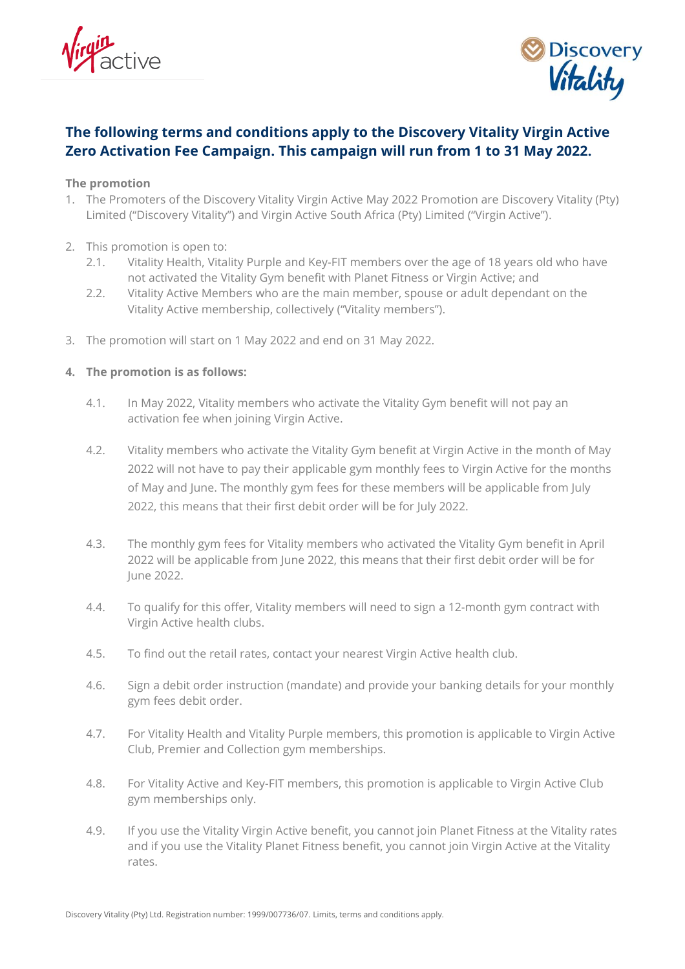



# **The following terms and conditions apply to the Discovery Vitality Virgin Active Zero Activation Fee Campaign. This campaign will run from 1 to 31 May 2022.**

### **The promotion**

- 1. The Promoters of the Discovery Vitality Virgin Active May 2022 Promotion are Discovery Vitality (Pty) Limited ("Discovery Vitality") and Virgin Active South Africa (Pty) Limited ("Virgin Active").
- 2. This promotion is open to:
	- 2.1. Vitality Health, Vitality Purple and Key-FIT members over the age of 18 years old who have not activated the Vitality Gym benefit with Planet Fitness or Virgin Active; and
	- 2.2. Vitality Active Members who are the main member, spouse or adult dependant on the Vitality Active membership, collectively ("Vitality members").
- 3. The promotion will start on 1 May 2022 and end on 31 May 2022.

# **4. The promotion is as follows:**

- 4.1. In May 2022, Vitality members who activate the Vitality Gym benefit will not pay an activation fee when joining Virgin Active.
- 4.2. Vitality members who activate the Vitality Gym benefit at Virgin Active in the month of May 2022 will not have to pay their applicable gym monthly fees to Virgin Active for the months of May and June. The monthly gym fees for these members will be applicable from July 2022, this means that their first debit order will be for July 2022.
- 4.3. The monthly gym fees for Vitality members who activated the Vitality Gym benefit in April 2022 will be applicable from June 2022, this means that their first debit order will be for June 2022.
- 4.4. To qualify for this offer, Vitality members will need to sign a 12-month gym contract with Virgin Active health clubs.
- 4.5. To find out the retail rates, contact your nearest Virgin Active health club.
- 4.6. Sign a debit order instruction (mandate) and provide your banking details for your monthly gym fees debit order.
- 4.7. For Vitality Health and Vitality Purple members, this promotion is applicable to Virgin Active Club, Premier and Collection gym memberships.
- 4.8. For Vitality Active and Key-FIT members, this promotion is applicable to Virgin Active Club gym memberships only.
- 4.9. If you use the Vitality Virgin Active benefit, you cannot join Planet Fitness at the Vitality rates and if you use the Vitality Planet Fitness benefit, you cannot join Virgin Active at the Vitality rates.